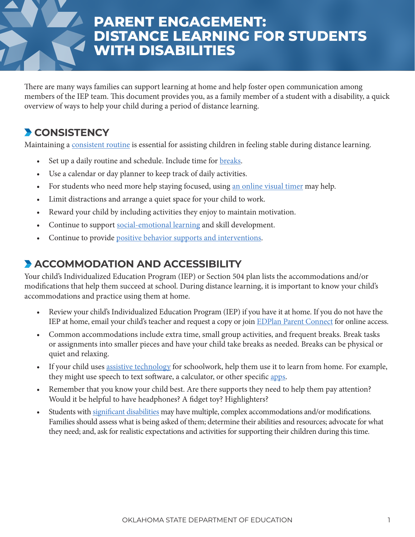# **PARENT ENGAGEMENT: DISTANCE LEARNING FOR STUDENTS WITH DISABILITIES**

There are many ways families can support learning at home and help foster open communication among members of the IEP team. This document provides you, as a family member of a student with a disability, a quick overview of ways to help your child during a period of distance learning.

#### **CONSISTENCY**

Maintaining a [consistent routine](https://www.cdc.gov/parents/essentials/structure/index.html) is essential for assisting children in feeling stable during distance learning.

- Set up a daily routine and schedule. Include time for **breaks**.
- Use a calendar or day planner to keep track of daily activities.
- For students who need more help staying focused, using [an online visual timer](https://www.online-stopwatch.com/classroom-timers/) may help.
- Limit distractions and arrange a quiet space for your child to work.
- Reward your child by including activities they enjoy to maintain motivation.
- Continue to support [social-emotional learning](https://sde.ok.gov/sites/default/files/Student Support_SEL_Educators Resource-2-2.pdf) and skill development.
- Continue to provide [positive behavior supports and interventions](https://www.youtube.com/channel/UCdn5TuR9qJA0MKA-kAtkFHQ).

## **ACCOMMODATION AND ACCESSIBILITY**

Your child's Individualized Education Program (IEP) or Section 504 plan lists the accommodations and/or modifications that help them succeed at school. During distance learning, it is important to know your child's accommodations and practice using them at home.

- Review your child's Individualized Education Program (IEP) if you have it at home. If you do not have the IEP at home, email your child's teacher and request a copy or join [EDPlan Parent Connect](https://sde.ok.gov/sites/default/files/EDPlan_Connect_District_Guide_1.4.pdf) for online access.
- Common accommodations include extra time, small group activities, and frequent breaks. Break tasks or assignments into smaller pieces and have your child take breaks as needed. Breaks can be physical or quiet and relaxing.
- If your child uses [assistive technology](https://www.okabletech.org/education-services/at-services-for-pk-12/) for schoolwork, help them use it to learn from home. For example, they might use speech to text software, a calculator, or other specific [apps](http://cec.informz.net/CEC/data/images/cec_today/iPadApps.pdf).
- Remember that you know your child best. Are there supports they need to help them pay attention? Would it be helpful to have headphones? A fidget toy? Highlighters?
- Students with [significant disabilities](https://sde.ok.gov/documents/2020-03-23/oaap-resources-providing-online-instruction) may have multiple, complex accommodations and/or modifications. Families should assess what is being asked of them; determine their abilities and resources; advocate for what they need; and, ask for realistic expectations and activities for supporting their children during this time.